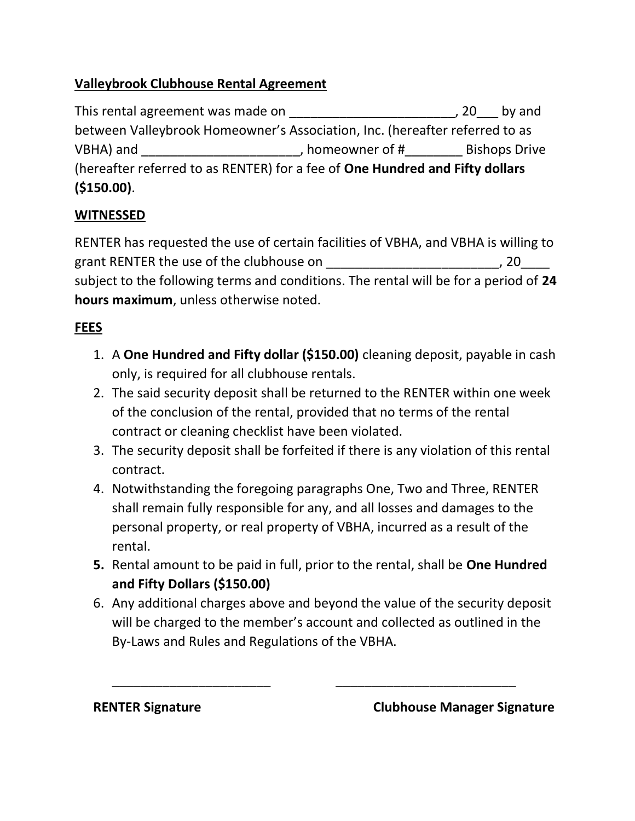# Valleybrook Clubhouse Rental Agreement

This rental agreement was made on \_\_\_\_\_\_\_\_\_\_\_\_\_\_\_\_\_\_\_\_\_\_\_\_\_\_\_\_, 20\_\_\_\_ by and between Valleybrook Homeowner's Association, Inc. (hereafter referred to as VBHA) and  $V$ BHA) and  $V$ BHA) and  $V$ (hereafter referred to as RENTER) for a fee of One Hundred and Fifty dollars (\$150.00).

## **WITNESSED**

RENTER has requested the use of certain facilities of VBHA, and VBHA is willing to grant RENTER the use of the clubhouse on \_\_\_\_\_\_\_\_\_\_\_\_\_\_\_\_\_\_\_\_\_\_\_\_\_\_\_\_\_, 20\_\_\_\_\_ subject to the following terms and conditions. The rental will be for a period of 24 hours maximum, unless otherwise noted.

# FEES

- 1. A One Hundred and Fifty dollar (\$150.00) cleaning deposit, payable in cash only, is required for all clubhouse rentals.
- 2. The said security deposit shall be returned to the RENTER within one week of the conclusion of the rental, provided that no terms of the rental contract or cleaning checklist have been violated.
- 3. The security deposit shall be forfeited if there is any violation of this rental contract.
- 4. Notwithstanding the foregoing paragraphs One, Two and Three, RENTER shall remain fully responsible for any, and all losses and damages to the personal property, or real property of VBHA, incurred as a result of the rental.
- 5. Rental amount to be paid in full, prior to the rental, shall be One Hundred and Fifty Dollars (\$150.00)
- 6. Any additional charges above and beyond the value of the security deposit will be charged to the member's account and collected as outlined in the By-Laws and Rules and Regulations of the VBHA.

\_\_\_\_\_\_\_\_\_\_\_\_\_\_\_\_\_\_\_\_\_\_ \_\_\_\_\_\_\_\_\_\_\_\_\_\_\_\_\_\_\_\_\_\_\_\_\_

RENTER Signature **Clubhouse Manager Signature**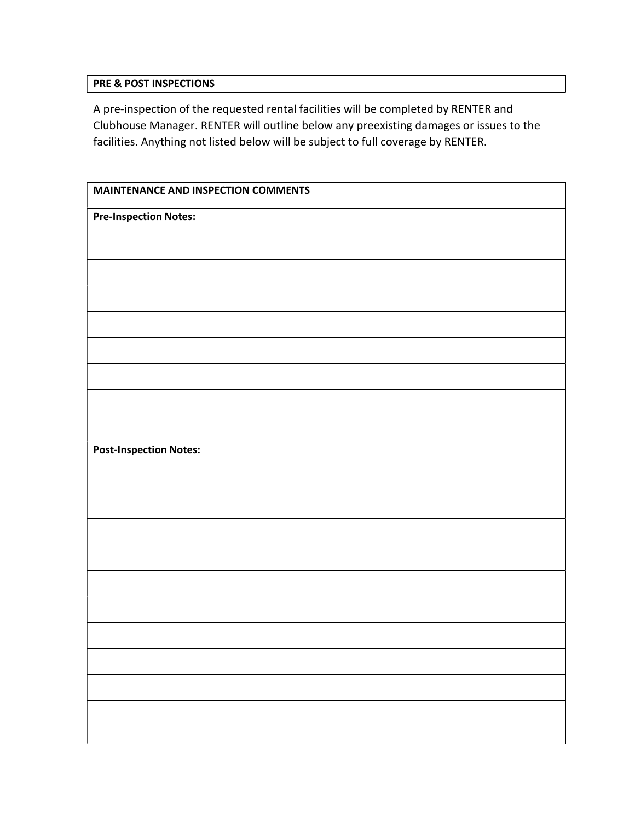#### PRE & POST INSPECTIONS

A pre-inspection of the requested rental facilities will be completed by RENTER and Clubhouse Manager. RENTER will outline below any preexisting damages or issues to the facilities. Anything not listed below will be subject to full coverage by RENTER.

| MAINTENANCE AND INSPECTION COMMENTS |  |  |
|-------------------------------------|--|--|
| <b>Pre-Inspection Notes:</b>        |  |  |
|                                     |  |  |
|                                     |  |  |
|                                     |  |  |
|                                     |  |  |
|                                     |  |  |
|                                     |  |  |
|                                     |  |  |
|                                     |  |  |
| <b>Post-Inspection Notes:</b>       |  |  |
|                                     |  |  |
|                                     |  |  |
|                                     |  |  |
|                                     |  |  |
|                                     |  |  |
|                                     |  |  |
|                                     |  |  |
|                                     |  |  |
|                                     |  |  |
|                                     |  |  |
|                                     |  |  |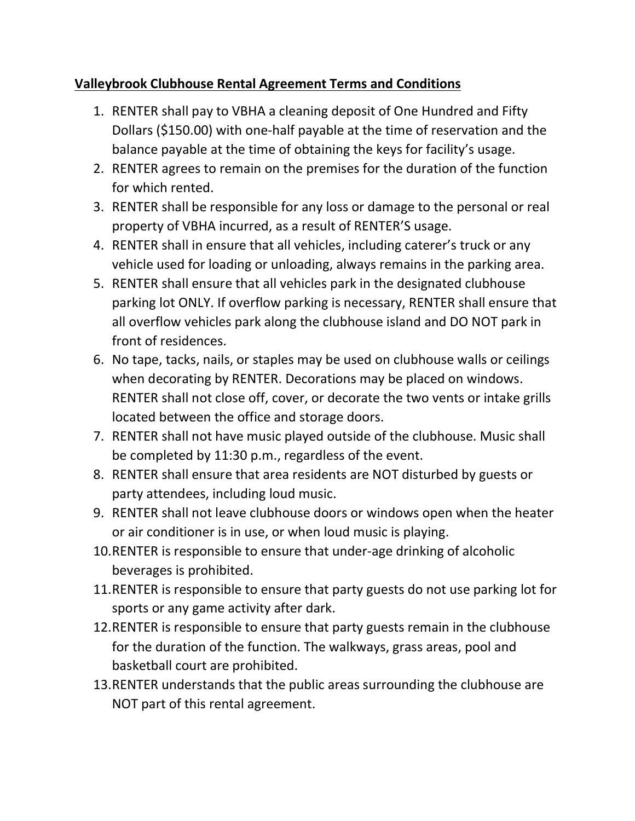## Valleybrook Clubhouse Rental Agreement Terms and Conditions

- 1. RENTER shall pay to VBHA a cleaning deposit of One Hundred and Fifty Dollars (\$150.00) with one-half payable at the time of reservation and the balance payable at the time of obtaining the keys for facility's usage.
- 2. RENTER agrees to remain on the premises for the duration of the function for which rented.
- 3. RENTER shall be responsible for any loss or damage to the personal or real property of VBHA incurred, as a result of RENTER'S usage.
- 4. RENTER shall in ensure that all vehicles, including caterer's truck or any vehicle used for loading or unloading, always remains in the parking area.
- 5. RENTER shall ensure that all vehicles park in the designated clubhouse parking lot ONLY. If overflow parking is necessary, RENTER shall ensure that all overflow vehicles park along the clubhouse island and DO NOT park in front of residences.
- 6. No tape, tacks, nails, or staples may be used on clubhouse walls or ceilings when decorating by RENTER. Decorations may be placed on windows. RENTER shall not close off, cover, or decorate the two vents or intake grills located between the office and storage doors.
- 7. RENTER shall not have music played outside of the clubhouse. Music shall be completed by 11:30 p.m., regardless of the event.
- 8. RENTER shall ensure that area residents are NOT disturbed by guests or party attendees, including loud music.
- 9. RENTER shall not leave clubhouse doors or windows open when the heater or air conditioner is in use, or when loud music is playing.
- 10.RENTER is responsible to ensure that under-age drinking of alcoholic beverages is prohibited.
- 11.RENTER is responsible to ensure that party guests do not use parking lot for sports or any game activity after dark.
- 12.RENTER is responsible to ensure that party guests remain in the clubhouse for the duration of the function. The walkways, grass areas, pool and basketball court are prohibited.
- 13.RENTER understands that the public areas surrounding the clubhouse are NOT part of this rental agreement.